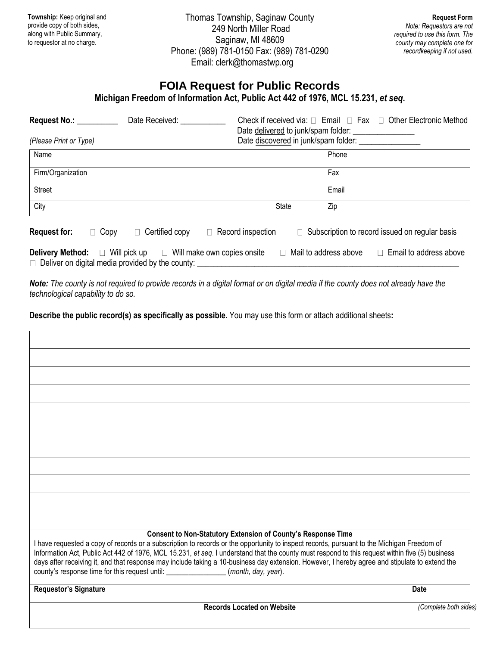**Township:** Keep original and provide copy of both sides, along with Public Summary, to requestor at no charge.

Thomas Township, Saginaw County 249 North Miller Road Saginaw, MI 48609 Phone: (989) 781-0150 Fax: (989) 781-0290 Email: clerk@thomastwp.org

## **FOIA Request for Public Records**

**Michigan Freedom of Information Act, Public Act 442 of 1976, MCL 15.231,** *et seq***.**

| Request No.: __________<br>(Please Print or Type) | Date Received:                                                                                                                            |                          | Check if received via: $\Box$ Email $\Box$ Fax $\Box$ Other Electronic Method<br>Date delivered to junk/spam folder:<br>Date discovered in junk/spam folder: ________________ |
|---------------------------------------------------|-------------------------------------------------------------------------------------------------------------------------------------------|--------------------------|-------------------------------------------------------------------------------------------------------------------------------------------------------------------------------|
| Name                                              |                                                                                                                                           |                          | Phone                                                                                                                                                                         |
| Firm/Organization                                 |                                                                                                                                           |                          | Fax                                                                                                                                                                           |
| <b>Street</b>                                     |                                                                                                                                           |                          | Email                                                                                                                                                                         |
| City                                              |                                                                                                                                           | <b>State</b>             | Zip                                                                                                                                                                           |
| <b>Request for:</b>                               | $\Box$ Copy<br>$\Box$ Certified copy                                                                                                      | $\Box$ Record inspection | $\Box$ Subscription to record issued on regular basis                                                                                                                         |
|                                                   | <b>Delivery Method:</b> $\Box$ Will pick up $\Box$ Will make own copies onsite<br>$\Box$ Deliver on digital media provided by the county: |                          | $\Box$ Mail to address above $\Box$ Email to address above                                                                                                                    |

*Note: The county is not required to provide records in a digital format or on digital media if the county does not already have the technological capability to do so.*

**Describe the public record(s) as specifically as possible.** You may use this form or attach additional sheets**:**

| Consent to Non-Statutory Extension of County's Response Time                                                                                                                                                                                                                                                                                                                                                                                                                                                                          |             |
|---------------------------------------------------------------------------------------------------------------------------------------------------------------------------------------------------------------------------------------------------------------------------------------------------------------------------------------------------------------------------------------------------------------------------------------------------------------------------------------------------------------------------------------|-------------|
| I have requested a copy of records or a subscription to records or the opportunity to inspect records, pursuant to the Michigan Freedom of<br>Information Act, Public Act 442 of 1976, MCL 15.231, et seq. I understand that the county must respond to this request within five (5) business<br>days after receiving it, and that response may include taking a 10-business day extension. However, I hereby agree and stipulate to extend the<br>county's response time for this request until: ________________(month, day, year). |             |
|                                                                                                                                                                                                                                                                                                                                                                                                                                                                                                                                       | <b>Date</b> |
| <b>Requestor's Signature</b>                                                                                                                                                                                                                                                                                                                                                                                                                                                                                                          |             |